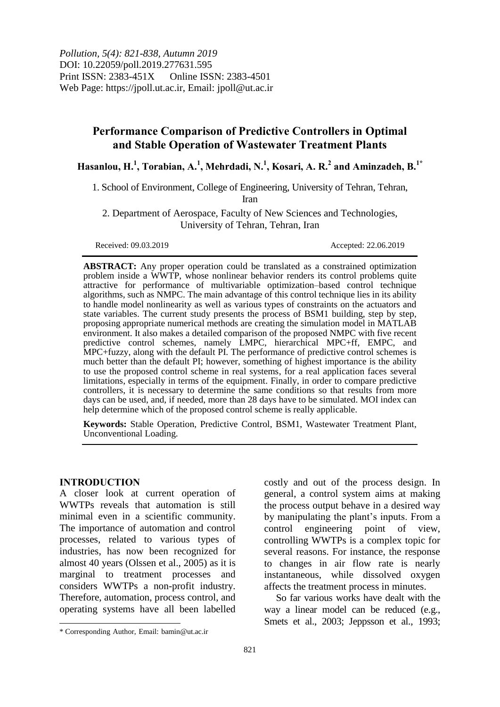*Pollution, 5(4): 821-838, Autumn 2019* DOI: 10.22059/poll.2019.277631.595 Print ISSN: 2383-451X Online ISSN: 2383-4501 Web Page: https://jpoll.ut.ac.ir, Email: jpoll@ut.ac.ir

# **Performance Comparison of Predictive Controllers in Optimal and Stable Operation of Wastewater Treatment Plants**

**Hasanlou, H.<sup>1</sup> , Torabian, A.<sup>1</sup> , Mehrdadi, N.<sup>1</sup> , Kosari, A. R.<sup>2</sup> and Aminzadeh, B.<sup>1</sup>\***

1. School of Environment, College of Engineering, University of Tehran, Tehran,

Iran

2. Department of Aerospace, Faculty of New Sciences and Technologies, University of Tehran, Tehran, Iran

Received: 09.03.2019 Accepted: 22.06.2019

**ABSTRACT:** Any proper operation could be translated as a constrained optimization problem inside a WWTP, whose nonlinear behavior renders its control problems quite attractive for performance of multivariable optimization–based control technique algorithms, such as NMPC. The main advantage of this control technique lies in its ability to handle model nonlinearity as well as various types of constraints on the actuators and state variables. The current study presents the process of BSM1 building, step by step, proposing appropriate numerical methods are creating the simulation model in MATLAB environment. It also makes a detailed comparison of the proposed NMPC with five recent predictive control schemes, namely LMPC, hierarchical MPC+ff, EMPC, and MPC+fuzzy, along with the default PI. The performance of predictive control schemes is much better than the default PI; however, something of highest importance is the ability to use the proposed control scheme in real systems, for a real application faces several limitations, especially in terms of the equipment. Finally, in order to compare predictive controllers, it is necessary to determine the same conditions so that results from more days can be used, and, if needed, more than 28 days have to be simulated. MOI index can help determine which of the proposed control scheme is really applicable.

**Keywords:** Stable Operation, Predictive Control, BSM1, Wastewater Treatment Plant, Unconventional Loading.

### **INTRODUCTION**

 $\overline{\phantom{a}}$ 

A closer look at current operation of WWTPs reveals that automation is still minimal even in a scientific community. The importance of automation and control processes, related to various types of industries, has now been recognized for almost 40 years (Olssen et al., 2005) as it is marginal to treatment processes and considers WWTPs a non-profit industry. Therefore, automation, process control, and operating systems have all been labelled

costly and out of the process design. In general, a control system aims at making the process output behave in a desired way by manipulating the plant's inputs. From a control engineering point of view, controlling WWTPs is a complex topic for several reasons. For instance, the response to changes in air flow rate is nearly instantaneous, while dissolved oxygen affects the treatment process in minutes.

So far various works have dealt with the way a linear model can be reduced (e.g., Smets et al., 2003; Jeppsson et al., 1993;

<sup>\*</sup> Corresponding Author, Email: bamin@ut.ac.ir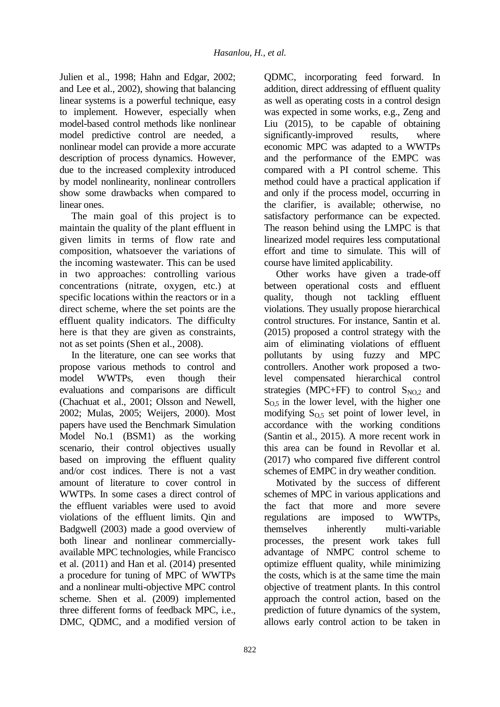Julien et al., 1998; Hahn and Edgar, 2002; and Lee et al., 2002), showing that balancing linear systems is a powerful technique, easy to implement. However, especially when model-based control methods like nonlinear model predictive control are needed, a nonlinear model can provide a more accurate description of process dynamics. However, due to the increased complexity introduced by model nonlinearity, nonlinear controllers show some drawbacks when compared to linear ones.

The main goal of this project is to maintain the quality of the plant effluent in given limits in terms of flow rate and composition, whatsoever the variations of the incoming wastewater. This can be used in two approaches: controlling various concentrations (nitrate, oxygen, etc.) at specific locations within the reactors or in a direct scheme, where the set points are the effluent quality indicators. The difficulty here is that they are given as constraints, not as set points (Shen et al., 2008).

In the literature, one can see works that propose various methods to control and model WWTPs, even though their evaluations and comparisons are difficult (Chachuat et al., 2001; Olsson and Newell, 2002; Mulas, 2005; Weijers, 2000). Most papers have used the Benchmark Simulation Model No.1 (BSM1) as the working scenario, their control objectives usually based on improving the effluent quality and/or cost indices. There is not a vast amount of literature to cover control in WWTPs. In some cases a direct control of the effluent variables were used to avoid violations of the effluent limits. Qin and Badgwell (2003) made a good overview of both linear and nonlinear commerciallyavailable MPC technologies, while Francisco et al. (2011) and Han et al. (2014) presented a procedure for tuning of MPC of WWTPs and a nonlinear multi-objective MPC control scheme. Shen et al. (2009) implemented three different forms of feedback MPC, i.e., DMC, QDMC, and a modified version of QDMC, incorporating feed forward. In addition, direct addressing of effluent quality as well as operating costs in a control design was expected in some works, e.g., Zeng and Liu (2015), to be capable of obtaining significantly-improved results, where economic MPC was adapted to a WWTPs and the performance of the EMPC was compared with a PI control scheme. This method could have a practical application if and only if the process model, occurring in the clarifier, is available; otherwise, no satisfactory performance can be expected. The reason behind using the LMPC is that linearized model requires less computational effort and time to simulate. This will of course have limited applicability.

Other works have given a trade-off between operational costs and effluent quality, though not tackling effluent violations. They usually propose hierarchical control structures. For instance, Santin et al. (2015) proposed a control strategy with the aim of eliminating violations of effluent pollutants by using fuzzy and MPC controllers. Another work proposed a twolevel compensated hierarchical control strategies (MPC+FF) to control  $S_{NO,2}$  and  $S<sub>0.5</sub>$  in the lower level, with the higher one modifying  $S_{0,5}$  set point of lower level, in accordance with the working conditions (Santin et al., 2015). A more recent work in this area can be found in Revollar et al. (2017) who compared five different control schemes of EMPC in dry weather condition.

Motivated by the success of different schemes of MPC in various applications and the fact that more and more severe regulations are imposed to WWTPs, themselves inherently multi-variable processes, the present work takes full advantage of NMPC control scheme to optimize effluent quality, while minimizing the costs, which is at the same time the main objective of treatment plants. In this control approach the control action, based on the prediction of future dynamics of the system, allows early control action to be taken in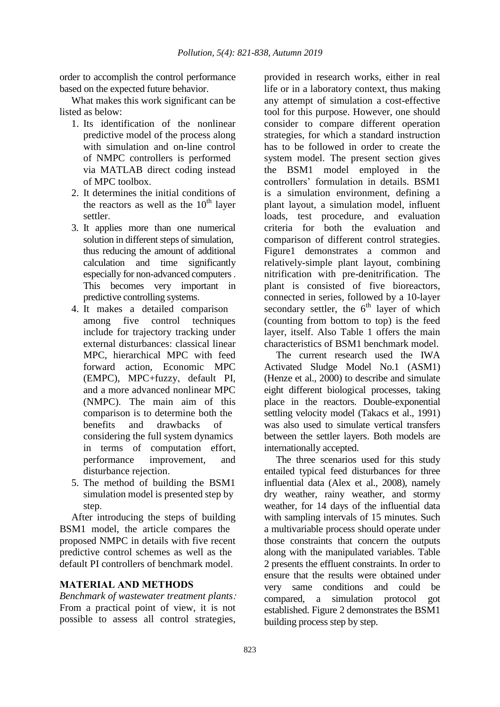order to accomplish the control performance based on the expected future behavior.

What makes this work significant can be listed as below:

- 1. Its identification of the nonlinear predictive model of the process along with simulation and on-line control of NMPC controllers is performed via MATLAB direct coding instead of MPC toolbox.
- 2. It determines the initial conditions of the reactors as well as the  $10<sup>th</sup>$  layer settler.
- 3. It applies more than one numerical solution in different steps of simulation, thus reducing the amount of additional calculation and time significantly especially for non-advanced computers . This becomes very important in predictive controlling systems.
- 4. It makes a detailed comparison among five control techniques include for trajectory tracking under external disturbances: classical linear MPC, hierarchical MPC with feed forward action, Economic MPC (EMPC), MPC+fuzzy, default PI, and a more advanced nonlinear MPC (NMPC). The main aim of this comparison is to determine both the benefits and drawbacks of considering the full system dynamics in terms of computation effort, performance improvement, and disturbance rejection.
- 5. The method of building the BSM1 simulation model is presented step by step.

After introducing the steps of building BSM1 model, the article compares the proposed NMPC in details with five recent predictive control schemes as well as the default PI controllers of benchmark model.

## **MATERIAL AND METHODS**

*Benchmark of wastewater treatment plants*: From a practical point of view, it is not possible to assess all control strategies,

provided in research works, either in real life or in a laboratory context, thus making any attempt of simulation a cost-effective tool for this purpose. However, one should consider to compare different operation strategies, for which a standard instruction has to be followed in order to create the system model. The present section gives the BSM1 model employed in the controllers' formulation in details. BSM1 is a simulation environment, defining a plant layout, a simulation model, influent loads, test procedure, and evaluation criteria for both the evaluation and comparison of different control strategies. Figure1 demonstrates a common and relatively-simple plant layout, combining nitrification with pre-denitrification. The plant is consisted of five bioreactors, connected in series, followed by a 10-layer secondary settler, the  $6<sup>th</sup>$  layer of which (counting from bottom to top) is the feed layer, itself. Also Table 1 offers the main characteristics of BSM1 benchmark model.

The current research used the IWA Activated Sludge Model No.1 (ASM1) (Henze et al., 2000) to describe and simulate eight different biological processes, taking place in the reactors. Double-exponential settling velocity model (Takacs et al., 1991) was also used to simulate vertical transfers between the settler layers. Both models are internationally accepted.

The three scenarios used for this study entailed typical feed disturbances for three influential data (Alex et al., 2008), namely dry weather, rainy weather, and stormy weather, for 14 days of the influential data with sampling intervals of 15 minutes. Such a multivariable process should operate under those constraints that concern the outputs along with the manipulated variables. Table 2 presents the effluent constraints. In order to ensure that the results were obtained under very same conditions and could be compared, a simulation protocol got established. Figure 2 demonstrates the BSM1 building process step by step.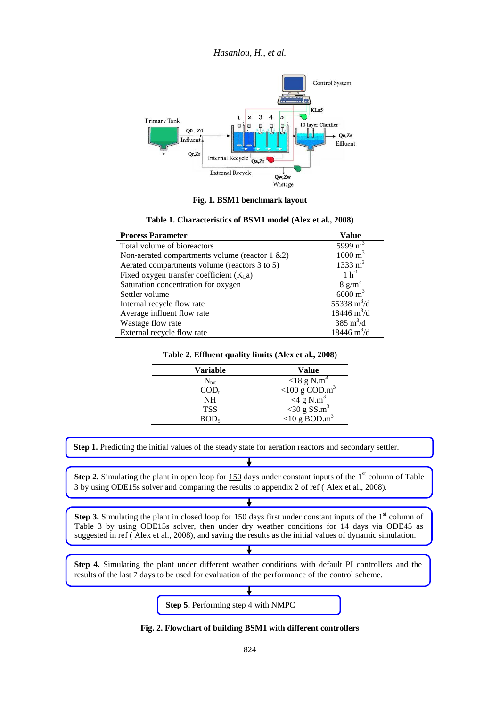*Hasanlou, H., et al.*



**Fig. 1. BSM1 benchmark layout**

| <b>Process Parameter</b>                            | Value                        |
|-----------------------------------------------------|------------------------------|
| Total volume of bioreactors                         | 5999 $m3$                    |
| Non-aerated compartments volume (reactor $1 \& 2$ ) | $1000 \text{ m}^3$           |
| Aerated compartments volume (reactors 3 to 5)       | $1333 \text{ m}^3$           |
| Fixed oxygen transfer coefficient $(KLa)$           | $1 h^{-1}$                   |
| Saturation concentration for oxygen                 | $8 \text{ g/m}^3$            |
| Settler volume                                      | $6000 \text{ m}^3$           |
| Internal recycle flow rate                          | 55338 $m^3/d$                |
| Average influent flow rate                          | $18446 \text{ m}^3/\text{d}$ |
| Wastage flow rate                                   | 385 $m^3/d$                  |
| External recycle flow rate                          | $18446 \text{ m}^3/\text{d}$ |

|  | Table 1. Characteristics of BSM1 model (Alex et al., 2008) |  |  |  |  |
|--|------------------------------------------------------------|--|--|--|--|
|--|------------------------------------------------------------|--|--|--|--|

#### **Table 2. Effluent quality limits (Alex et al., 2008)**

| <b>Value</b>                   |
|--------------------------------|
| $<$ 18 g N.m <sup>3</sup>      |
| <100 g $\text{COD}.\text{m}^3$ |
| $<4\text{ g N.m}^3$            |
| $<$ 30 g SS.m <sup>3</sup>     |
| $<$ 10 g BOD.m <sup>3</sup>    |
|                                |

**Step 1.** Predicting the initial values of the steady state for aeration reactors and secondary settler.

**Step 2.** Simulating the plant in open loop for  $150$  days under constant inputs of the 1<sup>st</sup> column of Table 3 by using ODE15s solver and comparing the results to appendix 2 of ref ( Alex et al., 2008).

**Step 3.** Simulating the plant in closed loop for 150 days first under constant inputs of the 1<sup>st</sup> column of Table 3 by using ODE15s solver, then under dry weather conditions for 14 days via ODE45 as suggested in ref ( Alex et al., 2008), and saving the results as the initial values of dynamic simulation.

**Step 4.** Simulating the plant under different weather conditions with default PI controllers and the results of the last 7 days to be used for evaluation of the performance of the control scheme.



**Fig. 2. Flowchart of building BSM1 with different controllers**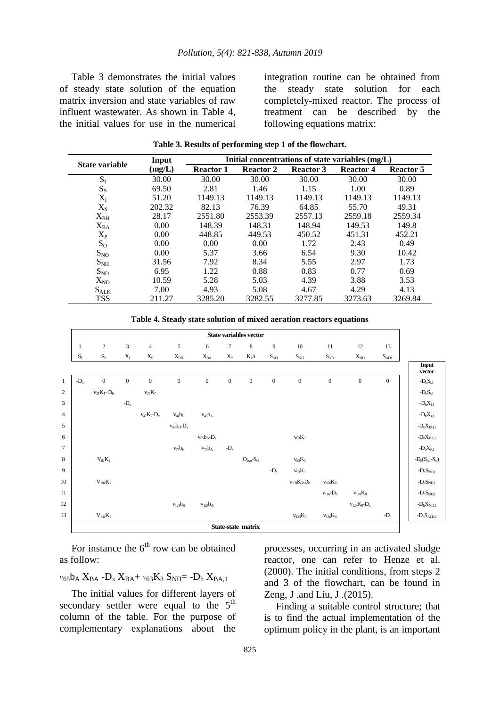Table 3 demonstrates the initial values of steady state solution of the equation matrix inversion and state variables of raw influent wastewater. As shown in Table 4, the initial values for use in the numerical integration routine can be obtained from the steady state solution for each completely-mixed reactor. The process of treatment can be described by the following equations matrix:

| State variable  | Input  | Initial concentrations of state variables (mg/L) |                  |                  |                  |                  |
|-----------------|--------|--------------------------------------------------|------------------|------------------|------------------|------------------|
|                 | (mg/L) | <b>Reactor 1</b>                                 | <b>Reactor 2</b> | <b>Reactor 3</b> | <b>Reactor 4</b> | <b>Reactor 5</b> |
| $S_I$           | 30.00  | 30.00                                            | 30.00            | 30.00            | 30.00            | 30.00            |
| $S_{S}$         | 69.50  | 2.81                                             | 1.46             | 1.15             | 1.00             | 0.89             |
| $X_I$           | 51.20  | 1149.13                                          | 1149.13          | 1149.13          | 1149.13          | 1149.13          |
| $X_{S}$         | 202.32 | 82.13                                            | 76.39            | 64.85            | 55.70            | 49.31            |
| $X_{BH}$        | 28.17  | 2551.80                                          | 2553.39          | 2557.13          | 2559.18          | 2559.34          |
| $X_{BA}$        | 0.00   | 148.39                                           | 148.31           | 148.94           | 149.53           | 149.8            |
| $X_{P}$         | 0.00   | 448.85                                           | 449.53           | 450.52           | 451.31           | 452.21           |
| $S_{\rm O}$     | 0.00   | 0.00                                             | 0.00             | 1.72             | 2.43             | 0.49             |
| $S_{NO}$        | 0.00   | 5.37                                             | 3.66             | 6.54             | 9.30             | 10.42            |
| S <sub>NH</sub> | 31.56  | 7.92                                             | 8.34             | 5.55             | 2.97             | 1.73             |
| $S_{ND}$        | 6.95   | 1.22                                             | 0.88             | 0.83             | 0.77             | 0.69             |
| $X_{ND}$        | 10.59  | 5.28                                             | 5.03             | 4.39             | 3.88             | 3.53             |
| $S_{ALK}$       | 7.00   | 4.93                                             | 5.08             | 4.67             | 4.29             | 4.13             |
| <b>TSS</b>      | 211.27 | 3285.20                                          | 3282.55          | 3277.85          | 3273.63          | 3269.84          |

**Table 3. Results of performing step 1 of the flowchart.**

**Table 4. Steady state solution of mixed aeration reactors equations**



For instance the  $6<sup>th</sup>$  row can be obtained as follow:

## $v_{65}b_A X_{BA} - D_x X_{BA} + v_{63}K_3 S_{NH} = -D_h X_{BA}$

The initial values for different layers of secondary settler were equal to the  $5<sup>th</sup>$ column of the table. For the purpose of complementary explanations about the

processes, occurring in an activated sludge reactor, one can refer to Henze et al. (2000). The initial conditions, from steps 2 and 3 of the flowchart, can be found in Zeng, J .and Liu, J .(2015).

Finding a suitable control structure; that is to find the actual implementation of the optimum policy in the plant, is an important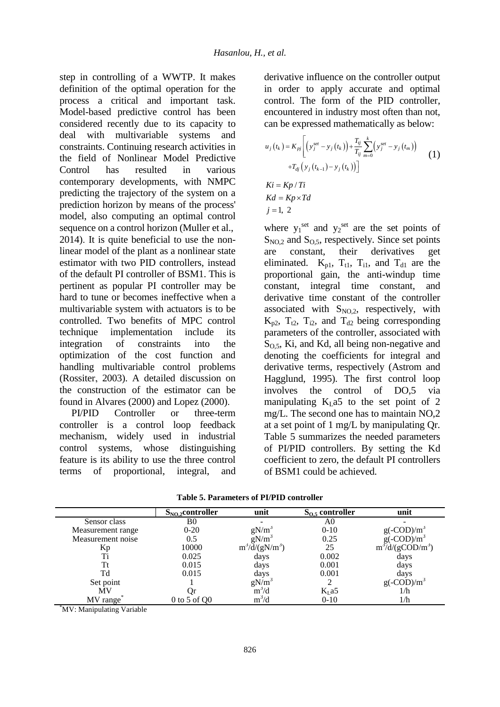step in controlling of a WWTP. It makes definition of the optimal operation for the process a critical and important task. Model-based predictive control has been considered recently due to its capacity to deal with multivariable systems and constraints. Continuing research activities in the field of Nonlinear Model Predictive Control has resulted in various contemporary developments, with NMPC predicting the trajectory of the system on a prediction horizon by means of the process' model, also computing an optimal control sequence on a control horizon (Muller et al., 2014). It is quite beneficial to use the nonlinear model of the plant as a nonlinear state estimator with two PID controllers, instead of the default PI controller of BSM1. This is pertinent as popular PI controller may be hard to tune or becomes ineffective when a multivariable system with actuators is to be controlled. Two benefits of MPC control technique implementation include its integration of constraints into the optimization of the cost function and handling multivariable control problems (Rossiter, 2003). A detailed discussion on the construction of the estimator can be found in Alvares (2000) and Lopez (2000).

PI/PID Controller or three-term controller is a control loop feedback mechanism, widely used in industrial control systems, whose distinguishing feature is its ability to use the three control terms of proportional, integral, and derivative influence on the controller output in order to apply accurate and optimal control. The form of the PID controller, encountered in industry most often than not, can be expressed mathematically as below:

$$
u_j(t_k) = K_{pj} \left[ \left( y_j^{set} - y_j(t_k) \right) + \frac{T_{ij}}{T_{ij}} \sum_{m=0}^k \left( y_j^{set} - y_j(t_m) \right) + T_{dj} \left( y_j(t_{k-1}) - y_j(t_k) \right) \right]
$$
  
\n
$$
Ki = Kp / Ti
$$
  
\n
$$
Kd = Kp \times Td
$$
\n(1)

 $j = 1, 2$ 

where  $y_1^{\text{set}}$  and  $y_2^{\text{set}}$  are the set points of  $S_{NO,2}$  and  $S_{O,5}$ , respectively. Since set points are constant, their derivatives get eliminated.  $K_{p1}$ ,  $T_{t1}$ ,  $T_{i1}$ , and  $T_{d1}$  are the proportional gain, the anti-windup time constant, integral time constant, and derivative time constant of the controller associated with  $S_{NO,2}$ , respectively, with  $K_{p2}$ ,  $T_{12}$ ,  $T_{12}$ , and  $T_{d2}$  being corresponding parameters of the controller, associated with  $S<sub>0.5</sub>$ , Ki, and Kd, all being non-negative and denoting the coefficients for integral and derivative terms, respectively (Astrom and Hagglund, 1995). The first control loop involves the control of DO,5 via manipulating  $K<sub>L</sub>a5$  to the set point of 2 mg/L. The second one has to maintain NO,2 at a set point of 1 mg/L by manipulating Qr. Table 5 summarizes the needed parameters of PI/PID controllers. By setting the Kd coefficient to zero, the default PI controllers of BSM1 could be achieved.

| Table 5. Parameters of PI/PID controller |  |  |
|------------------------------------------|--|--|
|------------------------------------------|--|--|

|                   | $S_{NO,2}$ controller | unit                    | $S_{0.5}$ controller | unit                                                      |
|-------------------|-----------------------|-------------------------|----------------------|-----------------------------------------------------------|
| Sensor class      | B0                    |                         | A0                   |                                                           |
| Measurement range | $0-20$                | $gN/m^3$                | $0 - 10$             | $g(-\text{COD})/m^3$                                      |
| Measurement noise | 0.5                   | $gN/m^3$                | 0.25                 |                                                           |
| Kр                | 10000                 | $m^3/\text{d}/(gN/m^3)$ | 25                   | $g(-COD)/m^3$<br>m <sup>3</sup> /d/(gCOD/m <sup>3</sup> ) |
| Ti                | 0.025                 | days                    | 0.002                | days                                                      |
|                   | 0.015                 | days                    | 0.001                | days                                                      |
| Td                | 0.015                 | days                    | 0.001                | days                                                      |
| Set point         |                       | $gN/m^3$                |                      | $g(-COD)/m^3$                                             |
| <b>MV</b>         |                       | $m^3/d$                 | $KL$ a5              | 1/h                                                       |
| MV range          | $0$ to 5 of $Q0$      | $m^3/d$                 | $0 - 10$             | 1/h                                                       |
|                   |                       |                         |                      |                                                           |

\*MV: Manipulating Variable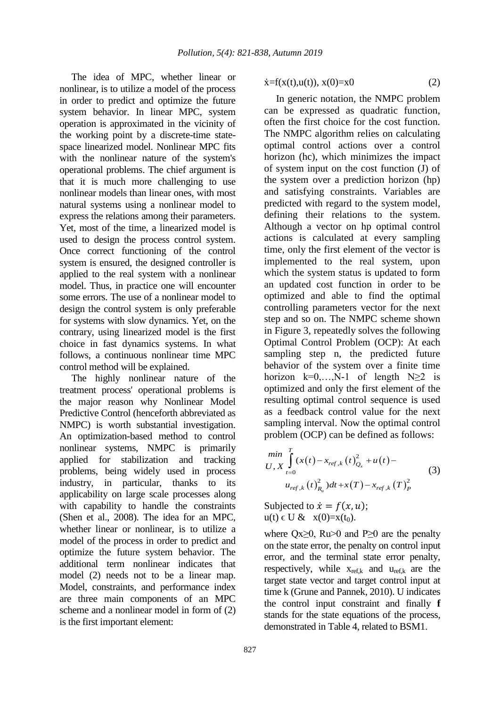The idea of MPC, whether linear or nonlinear, is to utilize a model of the process in order to predict and optimize the future system behavior. In linear MPC, system operation is approximated in the vicinity of the working point by a discrete-time statespace linearized model. Nonlinear MPC fits with the nonlinear nature of the system's operational problems. The chief argument is that it is much more challenging to use nonlinear models than linear ones, with most natural systems using a nonlinear model to express the relations among their parameters. Yet, most of the time, a linearized model is used to design the process control system. Once correct functioning of the control system is ensured, the designed controller is applied to the real system with a nonlinear model. Thus, in practice one will encounter some errors. The use of a nonlinear model to design the control system is only preferable for systems with slow dynamics. Yet, on the contrary, using linearized model is the first choice in fast dynamics systems. In what follows, a continuous nonlinear time MPC control method will be explained.

The highly nonlinear nature of the treatment process' operational problems is the major reason why Nonlinear Model Predictive Control (henceforth abbreviated as NMPC) is worth substantial investigation. An optimization-based method to control nonlinear systems, NMPC is primarily applied for stabilization and tracking problems, being widely used in process industry, in particular, thanks to its applicability on large scale processes along with capability to handle the constraints (Shen et al., 2008). The idea for an MPC, whether linear or nonlinear, is to utilize a model of the process in order to predict and optimize the future system behavior. The additional term nonlinear indicates that model (2) needs not to be a linear map. Model, constraints, and performance index are three main components of an MPC scheme and a nonlinear model in form of (2) is the first important element:

$$
\dot{x} = f(x(t), u(t)), \, x(0) = x0 \tag{2}
$$

In generic notation, the NMPC problem can be expressed as quadratic function, often the first choice for the cost function. The NMPC algorithm relies on calculating optimal control actions over a control horizon (hc), which minimizes the impact of system input on the cost function (J) of the system over a prediction horizon (hp) and satisfying constraints. Variables are predicted with regard to the system model, defining their relations to the system. Although a vector on hp optimal control actions is calculated at every sampling time, only the first element of the vector is implemented to the real system, upon which the system status is updated to form an updated cost function in order to be optimized and able to find the optimal controlling parameters vector for the next step and so on. The NMPC scheme shown in Figure 3, repeatedly solves the following Optimal Control Problem (OCP): At each sampling step n, the predicted future behavior of the system over a finite time horizon k=0,...,N-1 of length  $N \ge 2$  is optimized and only the first element of the resulting optimal control sequence is used as a feedback control value for the next sampling interval. Now the optimal control problem (OCP) can be defined as follows:

$$
\min_{U, X} \int_{t=0}^{T} (x(t) - x_{ref,k}(t))_{Q_x}^{2} + u(t) -
$$
\n
$$
u_{ref,k}(t)_{R_u}^{2} dt + x(T) - x_{ref,k}(T)_{P}^{2}
$$
\n(3)

Subjected to  $\dot{x} = f(x, u);$  $u(t) \in U \& x(0)=x(t_0).$ 

where  $Qx \geq 0$ , Ru>0 and P $\geq 0$  are the penalty on the state error, the penalty on control input error, and the terminal state error penalty, respectively, while  $x_{ref,k}$  and  $u_{ref,k}$  are the target state vector and target control input at time k (Grune and Pannek, 2010). U indicates the control input constraint and finally **f** stands for the state equations of the process, demonstrated in Table 4, related to BSM1.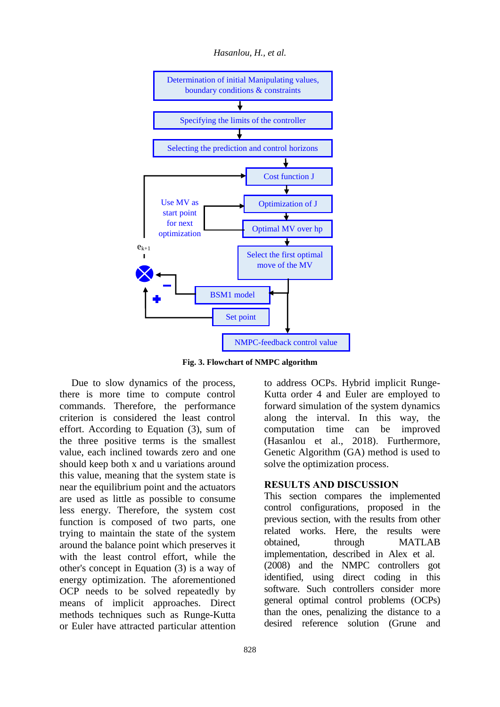

**Fig. 3. Flowchart of NMPC algorithm**

Due to slow dynamics of the process, there is more time to compute control commands. Therefore, the performance criterion is considered the least control effort. According to Equation (3), sum of the three positive terms is the smallest value, each inclined towards zero and one should keep both x and u variations around this value, meaning that the system state is near the equilibrium point and the actuators are used as little as possible to consume less energy. Therefore, the system cost function is composed of two parts, one trying to maintain the state of the system around the balance point which preserves it with the least control effort, while the other's concept in Equation (3) is a way of energy optimization. The aforementioned OCP needs to be solved repeatedly by means of implicit approaches. Direct methods techniques such as Runge-Kutta or Euler have attracted particular attention

to address OCPs. Hybrid implicit Runge-Kutta order 4 and Euler are employed to forward simulation of the system dynamics along the interval. In this way, the computation time can be improved (Hasanlou et al., 2018). Furthermore, Genetic Algorithm (GA) method is used to solve the optimization process.

### **RESULTS AND DISCUSSION**

This section compares the implemented control configurations, proposed in the previous section, with the results from other related works. Here, the results were obtained, through MATLAB implementation, described in Alex et al. (2008) and the NMPC controllers got identified, using direct coding in this software. Such controllers consider more general optimal control problems (OCPs) than the ones, penalizing the distance to a desired reference solution (Grune and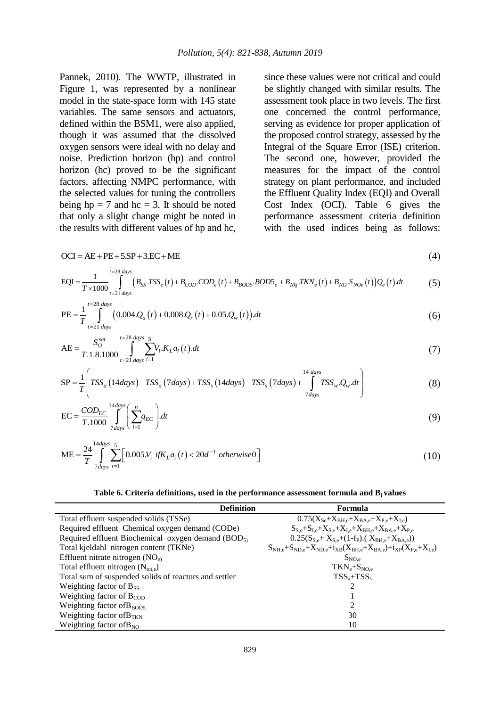Pannek, 2010). The WWTP, illustrated in Figure 1, was represented by a nonlinear model in the state-space form with 145 state variables. The same sensors and actuators, defined within the BSM1, were also applied, though it was assumed that the dissolved oxygen sensors were ideal with no delay and noise. Prediction horizon (hp) and control horizon (hc) proved to be the significant factors, affecting NMPC performance, with the selected values for tuning the controllers being  $hp = 7$  and  $hc = 3$ . It should be noted that only a slight change might be noted in the results with different values of hp and hc,

since these values were not critical and could be slightly changed with similar results. The assessment took place in two levels. The first one concerned the control performance, serving as evidence for proper application of the proposed control strategy, assessed by the Integral of the Square Error (ISE) criterion. The second one, however, provided the measures for the impact of the control strategy on plant performance, and included the Effluent Quality Index (EQI) and Overall Cost Index (OCI). Table 6 gives the performance assessment criteria definition with the used indices being as follows:

$$
OCI = AE + PE + 5SP + 3.EC + ME
$$
\n
$$
1 \tanh(2s \, ds)
$$
\n
$$
1 \tanh(2s \, ds)
$$
\n
$$
1 \tanh(2s \, ds)
$$
\n
$$
1 \tanh(2s \, ds)
$$
\n
$$
1 \tanh(2s \, ds)
$$
\n
$$
1 \tanh(2s \, ds)
$$
\n
$$
1 \tanh(2s \, ds)
$$
\n
$$
1 \tanh(2s \, ds)
$$
\n
$$
1 \tanh(2s \, ds)
$$
\n
$$
1 \tanh(2s \, ds)
$$
\n
$$
1 \tanh(2s \, ds)
$$
\n
$$
1 \tanh(2s \, ds)
$$
\n
$$
1 \tanh(2s \, ds)
$$
\n
$$
1 \tanh(2s \, ds)
$$
\n
$$
1 \tanh(2s \, ds)
$$
\n
$$
1 \tanh(2s \, ds)
$$
\n
$$
1 \tanh(2s \, ds)
$$
\n
$$
1 \tanh(2s \, ds)
$$
\n
$$
1 \tanh(2s \, ds)
$$
\n
$$
1 \tanh(2s \, ds)
$$
\n
$$
1 \tanh(2s \, ds)
$$
\n
$$
1 \tanh(2s \, ds)
$$
\n
$$
1 \tanh(2s \, ds)
$$
\n
$$
1 \tanh(2s \, ds)
$$
\n
$$
1 \tanh(2s \, ds)
$$
\n
$$
1 \tanh(2s \, ds)
$$
\n
$$
1 \tanh(2s \, ds)
$$
\n
$$
1 \tanh(2s \, ds)
$$
\n
$$
1 \tanh(2s \, ds)
$$
\n
$$
1 \tanh(2s \, ds)
$$
\n
$$
1 \tanh(2s \, ds)
$$
\n
$$
1 \tanh(2s \, ds)
$$
\n
$$
1 \tanh(2s \, ds)
$$
\n
$$
1 \tanh(2s \, ds)
$$
\n
$$
1 \tanh(2s \, ds)
$$
\n
$$
1 \tanh(2s \, ds)
$$
\n
$$
1 \tanh(2s \, ds)
$$

$$
OCI = AE + PE + 5SP + 3.EC + ME
$$
\n
$$
EQI = \frac{1}{T \times 1000} \int_{t=21 \text{ days}}^{t=28 \text{ days}} (B_{SS} T S S_e(t) + B_{COD} . COD_e(t) + B_{BOD5} . BOD5_e + B_{Nkj} . TKN_e(t) + B_{NO} . S_{NOe}(t)) Q_e(t) dt
$$
\n
$$
1^{t=28 \text{ days}}.
$$
\n(4)

PE = 
$$
\frac{1}{T} \int_{t=21 \text{ days}}^{t=28 \text{ days}} (0.004.Q_a(t) + 0.008.Q_r(t) + 0.05.Q_w(t)) dt
$$
 (6)

$$
AE = \frac{S_O^{sat}}{T.1.8.1000} \int_{t=21 \text{ days}}^{t=28 \text{ days}} \sum_{i=1}^{days} V_i.K_L a_i(t).dt
$$
  
SP -  $\frac{1}{T} \int_{TSS}^{21} (14 \text{ days}) - TSS \left(7 \text{ days}\right) + TSS \left(14 \text{ days}\right) - TSS \left(7 \text{ days}\right) + \int_{TSS}^{14 \text{ days}} TSS \cdot Q \cdot dt$  (8)

$$
AE = \frac{1}{T.1.8.1000} \int_{t=21 \text{ days}} \sum_{i=1}^{V_i \cdot K_L a_i(t).dt} (1)
$$
\n
$$
SP = \frac{1}{T} \left( TSS_a (14 \text{ days}) - TSS_a (7 \text{ days}) + TSS_s (14 \text{ days}) - TSS_s (7 \text{ days}) + \int_{7 \text{ days}}^{14 \text{ days}} TSS_w Q_w dt \right)
$$
\n(8)

$$
\text{EC} = \frac{COD_{EC}}{T.1000} \int_{7 \, days}^{14 \, days} \left( \sum_{i=1}^{n} q_{EC} \right) dt \tag{9}
$$

$$
ME = \frac{24}{T} \int_{7 \, days}^{14 \, days} \sum_{i=1}^{5} \left[ 0.005 N_i \, \text{if} K_L a_i \left( t \right) < 20 d^{-1} \, otherwise \, 0 \right] \tag{10}
$$

#### **Table 6. Criteria definitions, used in the performance assessment formula and Bi values**

|                                                       | <b>Definition</b><br>Formula                                                               |
|-------------------------------------------------------|--------------------------------------------------------------------------------------------|
| Total effluent suspended solids (TSSe)                | $0.75(X_{Se}+X_{BHe}+X_{BA,e}+X_{P,e}+X_{Le})$                                             |
| Required effluent Chemical oxygen demand (CODe)       | $S_{S,e}+S_{I,e}+X_{S,e}+X_{I,e}+X_{BH,e}+X_{BA,e}+X_{P,e}$                                |
| Required effluent Biochemical oxygen demand $(BOD5)$  | $0.25(S_{S,e}+X_{S,e}+(1-f_P)(X_{BH,e}+X_{BA,e}))$                                         |
| Total kjeldahl nitrogen content (TKNe)                | $S_{NH,e} + S_{ND,e} + X_{ND,e} + i_{XB}(X_{BH,e} + X_{BA,e}) + i_{XP}(X_{P,e} + X_{I,e})$ |
| Effluent nitrate nitrogen $(NOe)$                     | $S_{NO,e}$                                                                                 |
| Total effluent nitrogen $(N_{\text{tot,e}})$          | $TKN_e + S_{NO,e}$                                                                         |
| Total sum of suspended solids of reactors and settler | $TSS_{a}+TSS_{s}$                                                                          |
| Weighting factor of $B_{SS}$                          |                                                                                            |
| Weighting factor of $B_{\rm{COD}}$                    |                                                                                            |
| Weighting factor of $B_{\text{BOD5}}$                 | ∍                                                                                          |
| Weighting factor of $B_{TKN}$                         | 30                                                                                         |
| Weighting factor of $B_{NO}$                          | 10                                                                                         |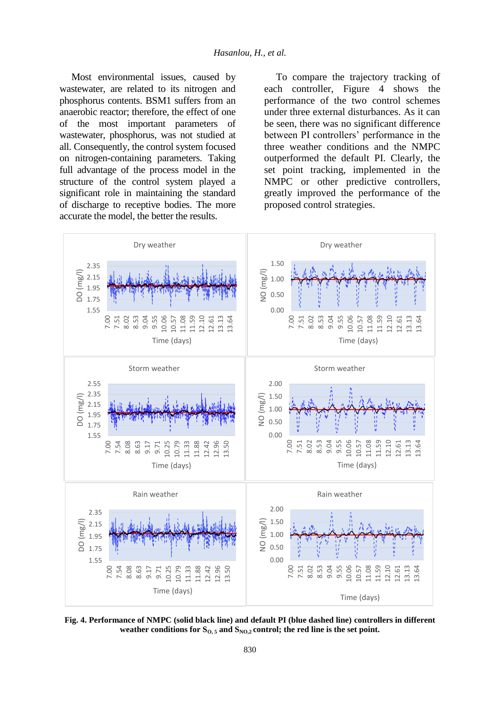Most environmental issues, caused by wastewater, are related to its nitrogen and phosphorus contents. BSM1 suffers from an anaerobic reactor; therefore, the effect of one of the most important parameters of wastewater, phosphorus, was not studied at all. Consequently, the control system focused on nitrogen-containing parameters. Taking full advantage of the process model in the structure of the control system played a significant role in maintaining the standard of discharge to receptive bodies. The more accurate the model, the better the results.

To compare the trajectory tracking of each controller, Figure 4 shows the performance of the two control schemes under three external disturbances. As it can be seen, there was no significant difference between PI controllers' performance in the three weather conditions and the NMPC outperformed the default PI. Clearly, the set point tracking, implemented in the NMPC or other predictive controllers, greatly improved the performance of the proposed control strategies.



**Fig. 4. Performance of NMPC (solid black line) and default PI (blue dashed line) controllers in different**  weather conditions for  $S_{0.5}$  and  $S_{N0.2}$  control; the red line is the set point.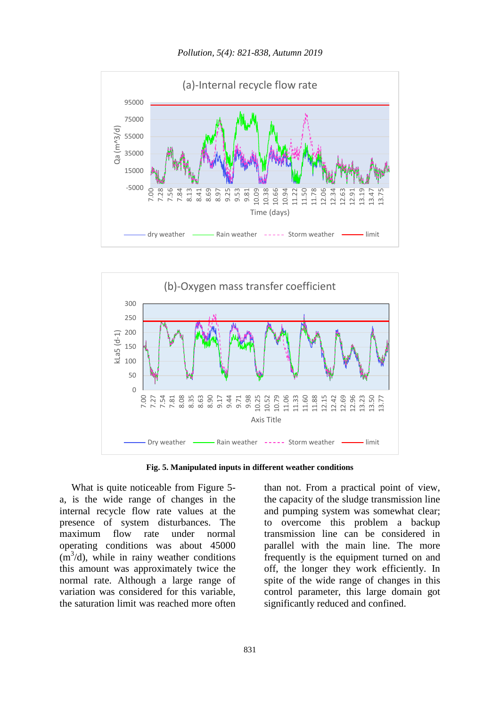





**Fig. 5. Manipulated inputs in different weather conditions**

What is quite noticeable from Figure 5 a, is the wide range of changes in the internal recycle flow rate values at the presence of system disturbances. The maximum flow rate under normal operating conditions was about 45000  $(m<sup>3</sup>/d)$ , while in rainy weather conditions this amount was approximately twice the normal rate. Although a large range of variation was considered for this variable, the saturation limit was reached more often

than not. From a practical point of view, the capacity of the sludge transmission line and pumping system was somewhat clear; to overcome this problem a backup transmission line can be considered in parallel with the main line. The more frequently is the equipment turned on and off, the longer they work efficiently. In spite of the wide range of changes in this control parameter, this large domain got significantly reduced and confined.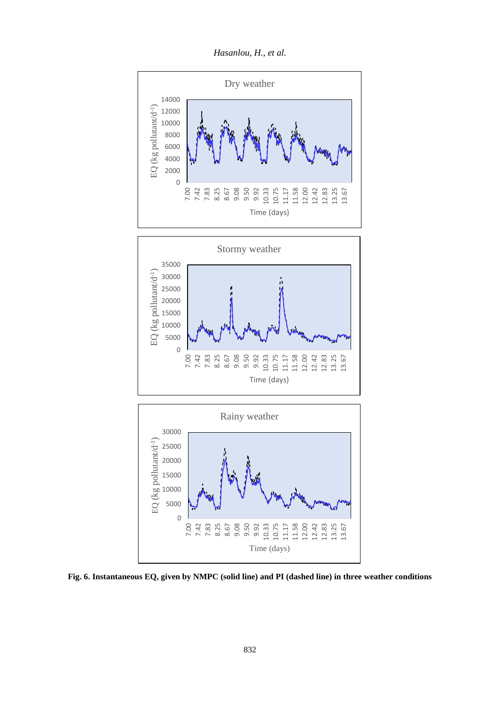*Hasanlou, H., et al.*



**Fig. 6. Instantaneous EQ, given by NMPC (solid line) and PI (dashed line) in three weather conditions**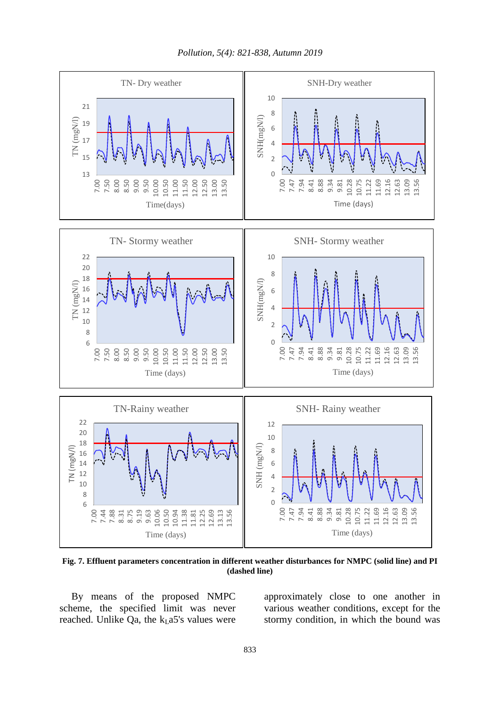*Pollution, 5(4): 821-838, Autumn 2019*



**Fig. 7. Effluent parameters concentration in different weather disturbances for NMPC (solid line) and PI (dashed line)**

By means of the proposed NMPC scheme, the specified limit was never reached. Unlike Qa, the  $k<sub>L</sub>$ a5's values were

approximately close to one another in various weather conditions, except for the stormy condition, in which the bound was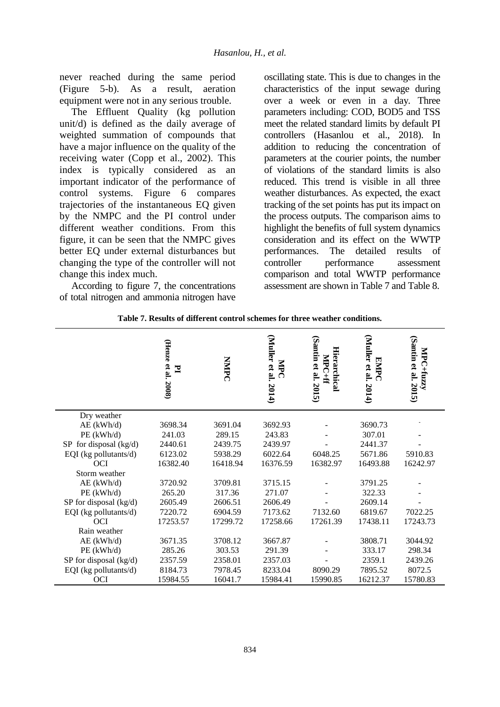never reached during the same period (Figure 5-b). As a result, aeration equipment were not in any serious trouble.

The Effluent Quality (kg pollution unit/d) is defined as the daily average of weighted summation of compounds that have a major influence on the quality of the receiving water (Copp et al., 2002). This index is typically considered as an important indicator of the performance of control systems. Figure 6 compares trajectories of the instantaneous EQ given by the NMPC and the PI control under different weather conditions. From this figure, it can be seen that the NMPC gives better EQ under external disturbances but changing the type of the controller will not change this index much.

According to figure 7, the concentrations of total nitrogen and ammonia nitrogen have oscillating state. This is due to changes in the characteristics of the input sewage during over a week or even in a day. Three parameters including: COD, BOD5 and TSS meet the related standard limits by default PI controllers (Hasanlou et al., 2018). In addition to reducing the concentration of parameters at the courier points, the number of violations of the standard limits is also reduced. This trend is visible in all three weather disturbances. As expected, the exact tracking of the set points has put its impact on the process outputs. The comparison aims to highlight the benefits of full system dynamics consideration and its effect on the WWTP performances. The detailed results of controller performance assessment comparison and total WWTP performance assessment are shown in Table 7 and Table 8.

|                        | (Henze et al. 2008)<br>$\mathbf{I}$ | <b>NNIPC</b> | $\mathrm{Muler}$ et al. 2014)<br>MPC | (Santin et al. 2015)<br>Hierarchical<br>MPC+ff | (Muller et al. $2014$ )<br>EMPC | (Santin et al. 2015)<br>ĂP<br>$C+$ fuzzy |
|------------------------|-------------------------------------|--------------|--------------------------------------|------------------------------------------------|---------------------------------|------------------------------------------|
| Dry weather            |                                     |              |                                      |                                                |                                 |                                          |
| $AE$ (kWh/d)           | 3698.34                             | 3691.04      | 3692.93                              |                                                | 3690.73                         |                                          |
| $PE$ (kWh/d)           | 241.03                              | 289.15       | 243.83                               |                                                | 307.01                          |                                          |
| SP for disposal (kg/d) | 2440.61                             | 2439.75      | 2439.97                              |                                                | 2441.37                         |                                          |
| EQI (kg pollutants/d)  | 6123.02                             | 5938.29      | 6022.64                              | 6048.25                                        | 5671.86                         | 5910.83                                  |
| <b>OCI</b>             | 16382.40                            | 16418.94     | 16376.59                             | 16382.97                                       | 16493.88                        | 16242.97                                 |
| Storm weather          |                                     |              |                                      |                                                |                                 |                                          |
| $AE$ (kWh/d)           | 3720.92                             | 3709.81      | 3715.15                              |                                                | 3791.25                         |                                          |
| PE(kWh/d)              | 265.20                              | 317.36       | 271.07                               |                                                | 322.33                          |                                          |
| SP for disposal (kg/d) | 2605.49                             | 2606.51      | 2606.49                              |                                                | 2609.14                         |                                          |
| EQI (kg pollutants/d)  | 7220.72                             | 6904.59      | 7173.62                              | 7132.60                                        | 6819.67                         | 7022.25                                  |
| <b>OCI</b>             | 17253.57                            | 17299.72     | 17258.66                             | 17261.39                                       | 17438.11                        | 17243.73                                 |
| Rain weather           |                                     |              |                                      |                                                |                                 |                                          |
| $AE$ (kWh/d)           | 3671.35                             | 3708.12      | 3667.87                              |                                                | 3808.71                         | 3044.92                                  |
| $PE$ (kWh/d)           | 285.26                              | 303.53       | 291.39                               |                                                | 333.17                          | 298.34                                   |
| SP for disposal (kg/d) | 2357.59                             | 2358.01      | 2357.03                              |                                                | 2359.1                          | 2439.26                                  |
| EQI (kg pollutants/d)  | 8184.73                             | 7978.45      | 8233.04                              | 8090.29                                        | 7895.52                         | 8072.5                                   |
| <b>OCI</b>             | 15984.55                            | 16041.7      | 15984.41                             | 15990.85                                       | 16212.37                        | 15780.83                                 |

**Table 7. Results of different control schemes for three weather conditions.**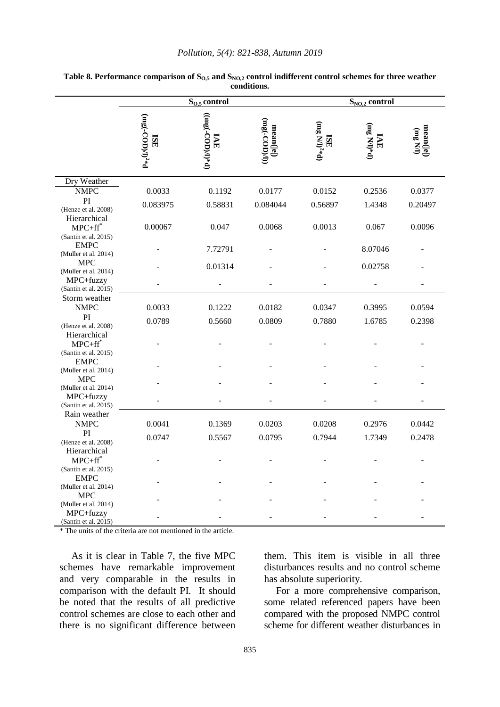|                                                      | $S_{0,5}$ control                                                             |                           |                             | $S_{NO,2}$ control                         |                     |                                                                         |  |
|------------------------------------------------------|-------------------------------------------------------------------------------|---------------------------|-----------------------------|--------------------------------------------|---------------------|-------------------------------------------------------------------------|--|
|                                                      | $(\mathtt{mg}(\text{-}\mathrm{COD})/\mathrm{l})^{2*}\mathrm{d}$<br><b>ISE</b> | $(10\%(-COD))^{*}$<br>IAE | $(mg(-COD)/I)$<br>mean( e ) | $(\rm m\,g\,N\,)^{2*}\rm d)$<br><b>ISE</b> | $(mg Nl)*d)$<br>IAE | $\begin{array}{c} \textbf{(mean([e])} \\ \textbf{(mg NII)} \end{array}$ |  |
| Dry Weather                                          |                                                                               |                           |                             |                                            |                     |                                                                         |  |
| <b>NMPC</b>                                          | 0.0033                                                                        | 0.1192                    | 0.0177                      | 0.0152                                     | 0.2536              | 0.0377                                                                  |  |
| PI<br>(Henze et al. 2008)<br>Hierarchical            | 0.083975                                                                      | 0.58831                   | 0.084044                    | 0.56897                                    | 1.4348              | 0.20497                                                                 |  |
| $MPC + ff^*$<br>(Santin et al. 2015)                 | 0.00067                                                                       | 0.047                     | 0.0068                      | 0.0013                                     | 0.067               | 0.0096                                                                  |  |
| <b>EMPC</b><br>(Muller et al. 2014)                  |                                                                               | 7.72791                   |                             |                                            | 8.07046             |                                                                         |  |
| <b>MPC</b><br>(Muller et al. 2014)                   |                                                                               | 0.01314                   |                             |                                            | 0.02758             |                                                                         |  |
| MPC+fuzzy<br>(Santin et al. 2015)                    |                                                                               |                           |                             |                                            |                     |                                                                         |  |
| Storm weather<br><b>NMPC</b>                         | 0.0033                                                                        | 0.1222                    | 0.0182                      | 0.0347                                     | 0.3995              | 0.0594                                                                  |  |
| PI<br>(Henze et al. 2008)                            | 0.0789                                                                        | 0.5660                    | 0.0809                      | 0.7880                                     | 1.6785              | 0.2398                                                                  |  |
| Hierarchical<br>$MPC + ff^*$<br>(Santin et al. 2015) |                                                                               |                           |                             |                                            |                     |                                                                         |  |
| <b>EMPC</b><br>(Muller et al. 2014)                  |                                                                               |                           |                             |                                            |                     |                                                                         |  |
| <b>MPC</b><br>(Muller et al. 2014)<br>MPC+fuzzy      |                                                                               |                           |                             |                                            |                     |                                                                         |  |
| (Santin et al. 2015)<br>Rain weather                 |                                                                               |                           |                             |                                            |                     |                                                                         |  |
| <b>NMPC</b><br>PI                                    | 0.0041                                                                        | 0.1369                    | 0.0203                      | 0.0208                                     | 0.2976              | 0.0442                                                                  |  |
| (Henze et al. 2008)<br>Hierarchical                  | 0.0747                                                                        | 0.5567                    | 0.0795                      | 0.7944                                     | 1.7349              | 0.2478                                                                  |  |
| $MPC + ff^*$<br>(Santin et al. 2015)                 |                                                                               |                           |                             |                                            |                     |                                                                         |  |
| <b>EMPC</b><br>(Muller et al. 2014)                  |                                                                               |                           |                             |                                            |                     |                                                                         |  |
| <b>MPC</b><br>(Muller et al. 2014)                   |                                                                               |                           |                             |                                            |                     |                                                                         |  |
| MPC+fuzzy<br>(Santin et al. 2015)                    |                                                                               |                           |                             |                                            |                     |                                                                         |  |

#### **Table 8. Performance comparison of SO,5 and SNO,2 control indifferent control schemes for three weather conditions.**

\* The units of the criteria are not mentioned in the article.

As it is clear in Table 7, the five MPC schemes have remarkable improvement and very comparable in the results in comparison with the default PI. It should be noted that the results of all predictive control schemes are close to each other and there is no significant difference between them. This item is visible in all three disturbances results and no control scheme has absolute superiority.

For a more comprehensive comparison, some related referenced papers have been compared with the proposed NMPC control scheme for different weather disturbances in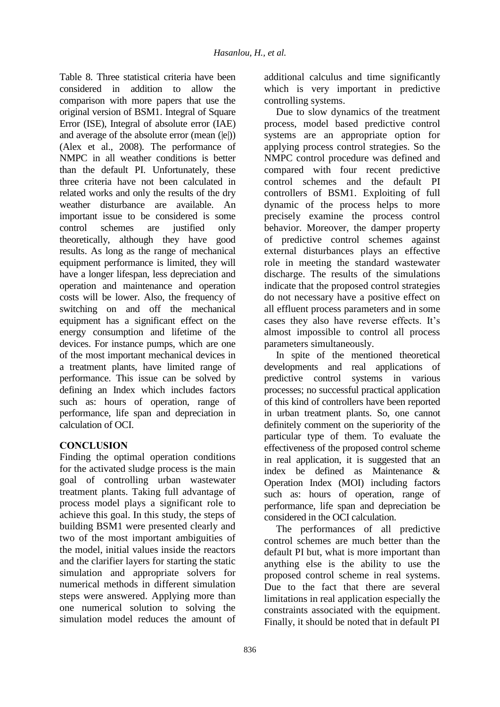Table 8. Three statistical criteria have been considered in addition to allow the comparison with more papers that use the original version of BSM1. Integral of Square Error (ISE), Integral of absolute error (IAE) and average of the absolute error (mean (|e|)) (Alex et al., 2008). The performance of NMPC in all weather conditions is better than the default PI. Unfortunately, these three criteria have not been calculated in related works and only the results of the dry weather disturbance are available. An important issue to be considered is some control schemes are justified only theoretically, although they have good results. As long as the range of mechanical equipment performance is limited, they will have a longer lifespan, less depreciation and operation and maintenance and operation costs will be lower. Also, the frequency of switching on and off the mechanical equipment has a significant effect on the energy consumption and lifetime of the devices. For instance pumps, which are one of the most important mechanical devices in a treatment plants, have limited range of performance. This issue can be solved by defining an Index which includes factors such as: hours of operation, range of performance, life span and depreciation in calculation of OCI.

## **CONCLUSION**

Finding the optimal operation conditions for the activated sludge process is the main goal of controlling urban wastewater treatment plants. Taking full advantage of process model plays a significant role to achieve this goal. In this study, the steps of building BSM1 were presented clearly and two of the most important ambiguities of the model, initial values inside the reactors and the clarifier layers for starting the static simulation and appropriate solvers for numerical methods in different simulation steps were answered. Applying more than one numerical solution to solving the simulation model reduces the amount of

additional calculus and time significantly which is very important in predictive controlling systems.

Due to slow dynamics of the treatment process, model based predictive control systems are an appropriate option for applying process control strategies. So the NMPC control procedure was defined and compared with four recent predictive control schemes and the default PI controllers of BSM1. Exploiting of full dynamic of the process helps to more precisely examine the process control behavior. Moreover, the damper property of predictive control schemes against external disturbances plays an effective role in meeting the standard wastewater discharge. The results of the simulations indicate that the proposed control strategies do not necessary have a positive effect on all effluent process parameters and in some cases they also have reverse effects. It's almost impossible to control all process parameters simultaneously.

In spite of the mentioned theoretical developments and real applications of predictive control systems in various processes; no successful practical application of this kind of controllers have been reported in urban treatment plants. So, one cannot definitely comment on the superiority of the particular type of them. To evaluate the effectiveness of the proposed control scheme in real application, it is suggested that an index be defined as Maintenance & Operation Index (MOI) including factors such as: hours of operation, range of performance, life span and depreciation be considered in the OCI calculation.

The performances of all predictive control schemes are much better than the default PI but, what is more important than anything else is the ability to use the proposed control scheme in real systems. Due to the fact that there are several limitations in real application especially the constraints associated with the equipment. Finally, it should be noted that in default PI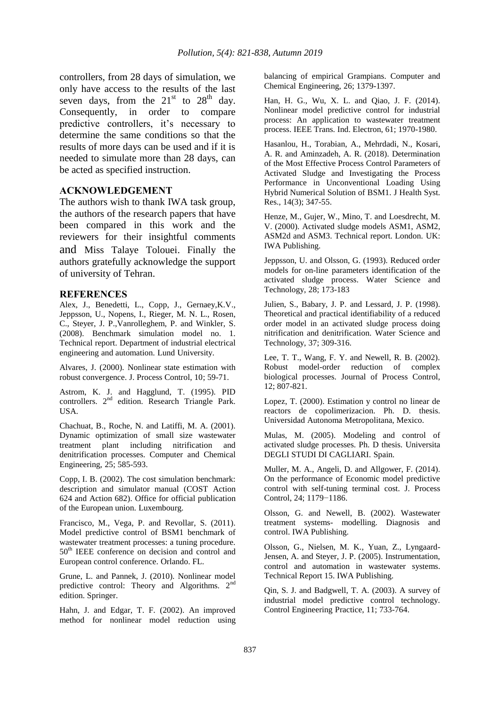controllers, from 28 days of simulation, we only have access to the results of the last seven days, from the  $21<sup>st</sup>$  to  $28<sup>th</sup>$  day. Consequently, in order to compare predictive controllers, it's necessary to determine the same conditions so that the results of more days can be used and if it is needed to simulate more than 28 days, can be acted as specified instruction.

### **ACKNOWLEDGEMENT**

The authors wish to thank IWA task group, the authors of the research papers that have been compared in this work and the reviewers for their insightful comments and Miss Talaye Tolouei. Finally the authors gratefully acknowledge the support of university of Tehran.

#### **REFERENCES**

Alex, J., Benedetti, L., Copp, J., Gernaey,K.V., Jeppsson, U., Nopens, I., Rieger, M. N. L., Rosen, C., Steyer, J. P.,Vanrolleghem, P. and Winkler, S. (2008). Benchmark simulation model no. 1. Technical report. Department of industrial electrical engineering and automation. Lund University.

Alvares, J. (2000). Nonlinear state estimation with robust convergence. J. Process Control, 10; 59-71.

Astrom, K. J. and Hagglund, T. (1995). PID controllers. 2<sup>nd</sup> edition. Research Triangle Park. USA.

Chachuat, B., Roche, N. and Latiffi, M. A. (2001). Dynamic optimization of small size wastewater treatment plant including nitrification and denitrification processes. Computer and Chemical Engineering, 25; 585-593.

Copp, I. B. (2002). The cost simulation benchmark: description and simulator manual (COST Action 624 and Action 682). Office for official publication of the European union. Luxembourg.

Francisco, M., Vega, P. and Revollar, S. (2011). Model predictive control of BSM1 benchmark of wastewater treatment processes: a tuning procedure. 50th IEEE conference on decision and control and European control conference. Orlando. FL.

Grune, L. and Pannek, J. (2010). Nonlinear model predictive control: Theory and Algorithms. 2<sup>nd</sup> edition. Springer.

Hahn, J. and Edgar, T. F. (2002). An improved method for nonlinear model reduction using balancing of empirical Grampians. Computer and Chemical Engineering, 26; 1379-1397.

Han, H. G., Wu, X. L. and Qiao, J. F. (2014). Nonlinear model predictive control for industrial process: An application to wastewater treatment process. IEEE Trans. Ind. Electron, 61; 1970-1980.

Hasanlou, H., Torabian, A., Mehrdadi, N., Kosari, A. R. and Aminzadeh, A. R. (2018). Determination of the Most Effective Process Control Parameters of Activated Sludge and Investigating the Process Performance in Unconventional Loading Using Hybrid Numerical Solution of BSM1. J Health Syst. Res., 14(3); 347-55.

Henze, M., Gujer, W., Mino, T. and Loesdrecht, M. V. (2000). Activated sludge models ASM1, ASM2, ASM2d and ASM3. Technical report. London. UK: IWA Publishing.

Jeppsson, U. and Olsson, G. (1993). Reduced order models for on-line parameters identification of the activated sludge process. Water Science and Technology, 28; 173-183

Julien, S., Babary, J. P. and Lessard, J. P. (1998). Theoretical and practical identifiability of a reduced order model in an activated sludge process doing nitrification and denitrification. Water Science and Technology, 37; 309-316.

Lee, T. T., Wang, F. Y. and Newell, R. B. (2002). Robust model-order reduction of complex biological processes. Journal of Process Control, 12; 807-821.

Lopez, T. (2000). Estimation y control no linear de reactors de copolimerizacion. Ph. D. thesis. Universidad Autonoma Metropolitana, Mexico.

Mulas, M. (2005). Modeling and control of activated sludge processes. Ph. D thesis. Universita DEGLI STUDI DI CAGLIARI. Spain.

Muller, M. A., Angeli, D. and Allgower, F. (2014). On the performance of Economic model predictive control with self-tuning terminal cost. J. Process Control, 24; 1179−1186.

Olsson, G. and Newell, B. (2002). Wastewater treatment systems- modelling. Diagnosis and control. IWA Publishing.

Olsson, G., Nielsen, M. K., Yuan, Z., Lyngaard-Jensen, A. and Steyer, J. P. (2005). Instrumentation, control and automation in wastewater systems. Technical Report 15. IWA Publishing.

Qin, S. J. and Badgwell, T. A. (2003). A survey of industrial model predictive control technology. Control Engineering Practice, 11; 733-764.